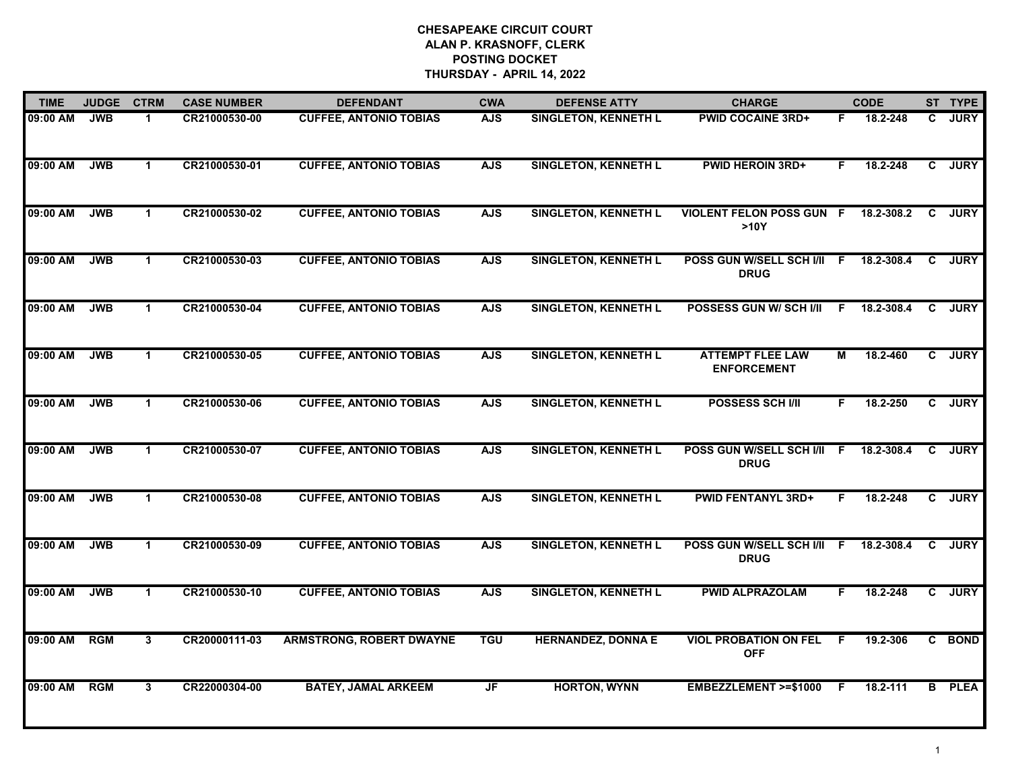| <b>TIME</b> | <b>JUDGE</b> | <b>CTRM</b>          | <b>CASE NUMBER</b> | <b>DEFENDANT</b>                | <b>CWA</b> | <b>DEFENSE ATTY</b>         | <b>CHARGE</b>                                 |    | <b>CODE</b> |              | ST TYPE     |
|-------------|--------------|----------------------|--------------------|---------------------------------|------------|-----------------------------|-----------------------------------------------|----|-------------|--------------|-------------|
| 09:00 AM    | <b>JWB</b>   | $\mathbf 1$          | CR21000530-00      | <b>CUFFEE, ANTONIO TOBIAS</b>   | <b>AJS</b> | <b>SINGLETON, KENNETH L</b> | <b>PWID COCAINE 3RD+</b>                      | F. | 18.2-248    | C.           | <b>JURY</b> |
| 09:00 AM    | <b>JWB</b>   | $\mathbf 1$          | CR21000530-01      | <b>CUFFEE, ANTONIO TOBIAS</b>   | <b>AJS</b> | <b>SINGLETON, KENNETH L</b> | <b>PWID HEROIN 3RD+</b>                       | F. | 18.2-248    | $\mathbf{c}$ | <b>JURY</b> |
| 09:00 AM    | <b>JWB</b>   | $\mathbf 1$          | CR21000530-02      | <b>CUFFEE, ANTONIO TOBIAS</b>   | <b>AJS</b> | <b>SINGLETON, KENNETH L</b> | <b>VIOLENT FELON POSS GUN F</b><br>>10Y       |    | 18.2-308.2  | C            | <b>JURY</b> |
| 09:00 AM    | <b>JWB</b>   | 1                    | CR21000530-03      | <b>CUFFEE, ANTONIO TOBIAS</b>   | <b>AJS</b> | <b>SINGLETON, KENNETH L</b> | POSS GUN W/SELL SCH I/II F<br><b>DRUG</b>     |    | 18.2-308.4  | C            | <b>JURY</b> |
| 09:00 AM    | <b>JWB</b>   | $\mathbf{1}$         | CR21000530-04      | <b>CUFFEE, ANTONIO TOBIAS</b>   | <b>AJS</b> | <b>SINGLETON, KENNETH L</b> | POSSESS GUN W/ SCH I/II                       | F. | 18.2-308.4  | C.           | <b>JURY</b> |
| 09:00 AM    | <b>JWB</b>   | $\mathbf 1$          | CR21000530-05      | <b>CUFFEE, ANTONIO TOBIAS</b>   | <b>AJS</b> | <b>SINGLETON, KENNETH L</b> | <b>ATTEMPT FLEE LAW</b><br><b>ENFORCEMENT</b> | М  | 18.2-460    | $\mathbf{c}$ | <b>JURY</b> |
| 09:00 AM    | <b>JWB</b>   | $\mathbf 1$          | CR21000530-06      | <b>CUFFEE, ANTONIO TOBIAS</b>   | <b>AJS</b> | <b>SINGLETON, KENNETH L</b> | <b>POSSESS SCH I/II</b>                       | F. | 18.2-250    |              | C JURY      |
| 09:00 AM    | <b>JWB</b>   | $\mathbf 1$          | CR21000530-07      | <b>CUFFEE, ANTONIO TOBIAS</b>   | <b>AJS</b> | <b>SINGLETON, KENNETH L</b> | POSS GUN W/SELL SCH I/II F<br><b>DRUG</b>     |    | 18.2-308.4  | C.           | <b>JURY</b> |
| 09:00 AM    | <b>JWB</b>   | $\blacktriangleleft$ | CR21000530-08      | <b>CUFFEE, ANTONIO TOBIAS</b>   | <b>AJS</b> | <b>SINGLETON, KENNETH L</b> | <b>PWID FENTANYL 3RD+</b>                     | F. | 18.2-248    | C            | <b>JURY</b> |
| 09:00 AM    | <b>JWB</b>   | $\mathbf 1$          | CR21000530-09      | <b>CUFFEE, ANTONIO TOBIAS</b>   | <b>AJS</b> | <b>SINGLETON, KENNETH L</b> | POSS GUN W/SELL SCH I/II F<br><b>DRUG</b>     |    | 18.2-308.4  | C.           | <b>JURY</b> |
| 09:00 AM    | <b>JWB</b>   | $\mathbf 1$          | CR21000530-10      | <b>CUFFEE, ANTONIO TOBIAS</b>   | <b>AJS</b> | <b>SINGLETON, KENNETH L</b> | <b>PWID ALPRAZOLAM</b>                        | F. | 18.2-248    | $\mathbf{c}$ | <b>JURY</b> |
| 09:00 AM    | <b>RGM</b>   | 3                    | CR20000111-03      | <b>ARMSTRONG, ROBERT DWAYNE</b> | <b>TGU</b> | <b>HERNANDEZ, DONNA E</b>   | <b>VIOL PROBATION ON FEL</b><br><b>OFF</b>    | F  | 19.2-306    |              | C BOND      |
| 09:00 AM    | <b>RGM</b>   | 3                    | CR22000304-00      | <b>BATEY, JAMAL ARKEEM</b>      | JF         | <b>HORTON, WYNN</b>         | EMBEZZLEMENT >=\$1000                         | F. | 18.2-111    | B            | <b>PLEA</b> |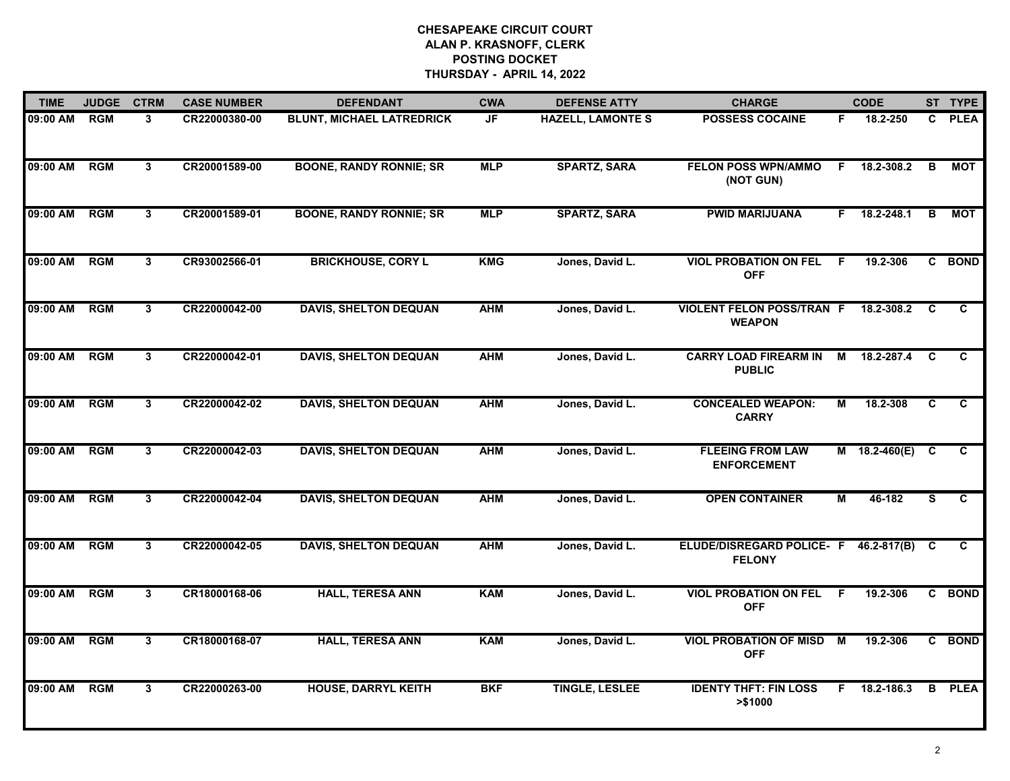| <b>TIME</b>  | <b>JUDGE</b> | <b>CTRM</b>    | <b>CASE NUMBER</b> | <b>DEFENDANT</b>                 | <b>CWA</b> | <b>DEFENSE ATTY</b>      | <b>CHARGE</b>                                            |     | <b>CODE</b>     |    | ST TYPE      |
|--------------|--------------|----------------|--------------------|----------------------------------|------------|--------------------------|----------------------------------------------------------|-----|-----------------|----|--------------|
| 09:00 AM     | <b>RGM</b>   | 3              | CR22000380-00      | <b>BLUNT, MICHAEL LATREDRICK</b> | <b>JF</b>  | <b>HAZELL, LAMONTE S</b> | <b>POSSESS COCAINE</b>                                   | F.  | 18.2-250        | C. | <b>PLEA</b>  |
| 09:00 AM     | <b>RGM</b>   | $\mathbf{3}$   | CR20001589-00      | <b>BOONE, RANDY RONNIE; SR</b>   | <b>MLP</b> | <b>SPARTZ, SARA</b>      | <b>FELON POSS WPN/AMMO</b><br>(NOT GUN)                  |     | F 18.2-308.2    | B  | МОТ          |
| 09:00 AM     | <b>RGM</b>   | 3 <sup>1</sup> | CR20001589-01      | <b>BOONE, RANDY RONNIE; SR</b>   | <b>MLP</b> | <b>SPARTZ, SARA</b>      | <b>PWID MARIJUANA</b>                                    | F.  | 18.2-248.1      | В  | <b>MOT</b>   |
| 09:00 AM     | <b>RGM</b>   | 3              | CR93002566-01      | <b>BRICKHOUSE, CORY L</b>        | KMG        | Jones, David L.          | <b>VIOL PROBATION ON FEL</b><br><b>OFF</b>               | -F. | 19.2-306        |    | C BOND       |
| 09:00 AM     | <b>RGM</b>   | 3              | CR22000042-00      | <b>DAVIS, SHELTON DEQUAN</b>     | <b>AHM</b> | Jones, David L.          | <b>VIOLENT FELON POSS/TRAN F</b><br><b>WEAPON</b>        |     | 18.2-308.2      | C  | C            |
| 09:00 AM RGM |              | 3              | CR22000042-01      | <b>DAVIS, SHELTON DEQUAN</b>     | <b>AHM</b> | Jones, David L.          | <b>CARRY LOAD FIREARM IN</b><br><b>PUBLIC</b>            | M   | 18.2-287.4      | C  | C.           |
| 09:00 AM     | RGM          | $\mathbf{3}$   | CR22000042-02      | <b>DAVIS, SHELTON DEQUAN</b>     | <b>AHM</b> | Jones, David L.          | <b>CONCEALED WEAPON:</b><br><b>CARRY</b>                 | M   | 18.2-308        | C  | C            |
| 09:00 AM     | <b>RGM</b>   | $\mathbf{3}$   | CR22000042-03      | <b>DAVIS, SHELTON DEQUAN</b>     | <b>AHM</b> | Jones, David L.          | <b>FLEEING FROM LAW</b><br><b>ENFORCEMENT</b>            |     | M 18.2-460(E) C |    | $\mathbf{c}$ |
| 09:00 AM     | <b>RGM</b>   | 3              | CR22000042-04      | <b>DAVIS, SHELTON DEQUAN</b>     | <b>AHM</b> | Jones, David L.          | <b>OPEN CONTAINER</b>                                    | М   | 46-182          | s  | C            |
| 09:00 AM     | <b>RGM</b>   | 3              | CR22000042-05      | <b>DAVIS, SHELTON DEQUAN</b>     | <b>AHM</b> | Jones, David L.          | ELUDE/DISREGARD POLICE- F 46.2-817(B) C<br><b>FELONY</b> |     |                 |    | C.           |
| 09:00 AM     | <b>RGM</b>   | 3              | CR18000168-06      | <b>HALL, TERESA ANN</b>          | <b>KAM</b> | Jones, David L.          | <b>VIOL PROBATION ON FEL</b><br><b>OFF</b>               | F.  | 19.2-306        |    | C BOND       |
| 09:00 AM     | <b>RGM</b>   | 3              | CR18000168-07      | <b>HALL, TERESA ANN</b>          | <b>KAM</b> | Jones, David L.          | <b>VIOL PROBATION OF MISD</b><br><b>OFF</b>              | M   | 19.2-306        |    | C BOND       |
| 09:00 AM     | <b>RGM</b>   | 3              | CR22000263-00      | <b>HOUSE, DARRYL KEITH</b>       | <b>BKF</b> | <b>TINGLE, LESLEE</b>    | <b>IDENTY THFT: FIN LOSS</b><br>>\$1000                  | F.  | 18.2-186.3      | В  | <b>PLEA</b>  |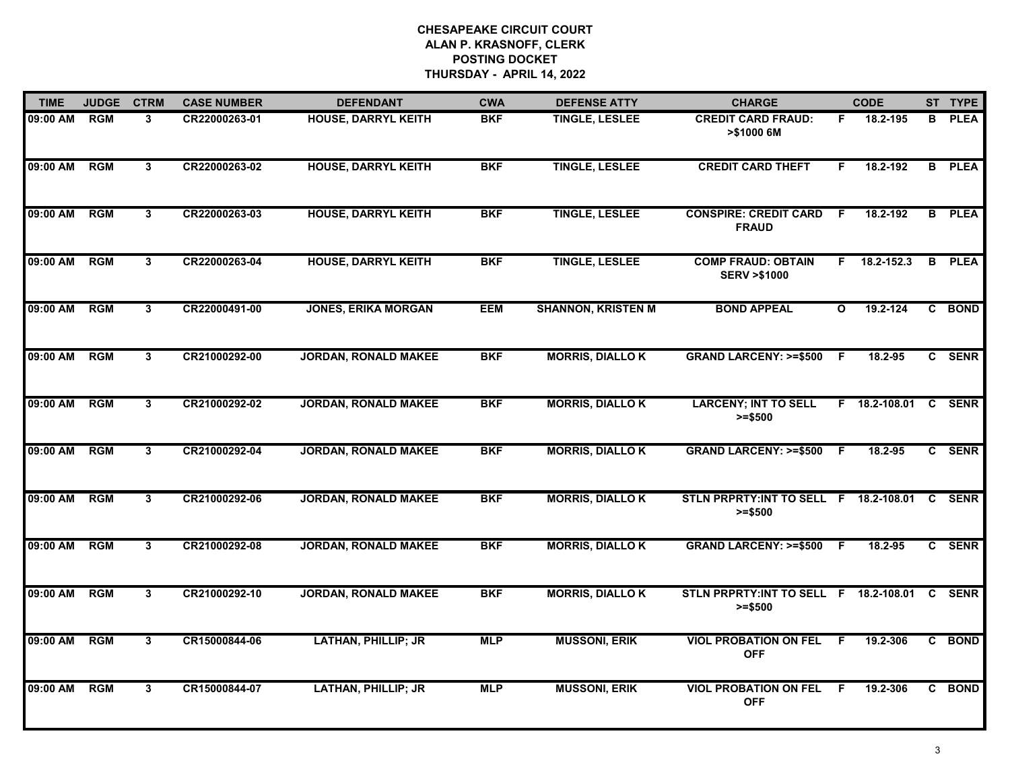| <b>TIME</b> | <b>JUDGE</b> | <b>CTRM</b>  | <b>CASE NUMBER</b> | <b>DEFENDANT</b>            | <b>CWA</b> | <b>DEFENSE ATTY</b>       | <b>CHARGE</b>                                       |              | <b>CODE</b>     |    | ST TYPE     |
|-------------|--------------|--------------|--------------------|-----------------------------|------------|---------------------------|-----------------------------------------------------|--------------|-----------------|----|-------------|
| 09:00 AM    | <b>RGM</b>   | 3            | CR22000263-01      | <b>HOUSE, DARRYL KEITH</b>  | <b>BKF</b> | <b>TINGLE, LESLEE</b>     | <b>CREDIT CARD FRAUD:</b><br>>\$1000 6M             | F.           | 18.2-195        | B  | <b>PLEA</b> |
| 09:00 AM    | <b>RGM</b>   | $\mathbf{3}$ | CR22000263-02      | <b>HOUSE, DARRYL KEITH</b>  | <b>BKF</b> | <b>TINGLE, LESLEE</b>     | <b>CREDIT CARD THEFT</b>                            | F.           | 18.2-192        | B. | <b>PLEA</b> |
| 09:00 AM    | RGM          | $3^{\circ}$  | CR22000263-03      | <b>HOUSE, DARRYL KEITH</b>  | <b>BKF</b> | <b>TINGLE, LESLEE</b>     | <b>CONSPIRE: CREDIT CARD</b><br><b>FRAUD</b>        | E            | 18.2-192        | B  | <b>PLEA</b> |
| 09:00 AM    | <b>RGM</b>   | 3            | CR22000263-04      | <b>HOUSE, DARRYL KEITH</b>  | <b>BKF</b> | <b>TINGLE, LESLEE</b>     | <b>COMP FRAUD: OBTAIN</b><br><b>SERV &gt;\$1000</b> |              | F 18.2-152.3    | B. | <b>PLEA</b> |
| 09:00 AM    | RGM          | 3            | CR22000491-00      | <b>JONES, ERIKA MORGAN</b>  | <b>EEM</b> | <b>SHANNON, KRISTEN M</b> | <b>BOND APPEAL</b>                                  | $\mathbf{o}$ | 19.2-124        | C  | <b>BOND</b> |
| 09:00 AM    | RGM          | 3            | CR21000292-00      | <b>JORDAN, RONALD MAKEE</b> | <b>BKF</b> | <b>MORRIS, DIALLO K</b>   | GRAND LARCENY: >=\$500 F                            |              | 18.2-95         |    | C SENR      |
| 09:00 AM    | RGM          | $\mathbf{3}$ | CR21000292-02      | <b>JORDAN, RONALD MAKEE</b> | <b>BKF</b> | <b>MORRIS, DIALLOK</b>    | <b>LARCENY; INT TO SELL</b><br>$>= $500$            |              | F 18.2-108.01 C |    | <b>SENR</b> |
| 09:00 AM    | <b>RGM</b>   | $\mathbf{3}$ | CR21000292-04      | <b>JORDAN, RONALD MAKEE</b> | <b>BKF</b> | <b>MORRIS, DIALLOK</b>    | <b>GRAND LARCENY: &gt;=\$500</b>                    | -F           | 18.2-95         |    | C SENR      |
| 09:00 AM    | <b>RGM</b>   | 3            | CR21000292-06      | <b>JORDAN, RONALD MAKEE</b> | <b>BKF</b> | <b>MORRIS, DIALLOK</b>    | STLN PRPRTY: INT TO SELL F 18.2-108.01<br>$>= $500$ |              |                 | C. | <b>SENR</b> |
| 09:00 AM    | <b>RGM</b>   | 3            | CR21000292-08      | <b>JORDAN, RONALD MAKEE</b> | <b>BKF</b> | <b>MORRIS, DIALLOK</b>    | <b>GRAND LARCENY: &gt;=\$500</b>                    | -F           | 18.2-95         |    | C SENR      |
| 09:00 AM    | <b>RGM</b>   | 3            | CR21000292-10      | <b>JORDAN, RONALD MAKEE</b> | <b>BKF</b> | <b>MORRIS, DIALLO K</b>   | STLN PRPRTY:INT TO SELL F 18.2-108.01<br>$>= $500$  |              |                 | C  | <b>SENR</b> |
| 09:00 AM    | <b>RGM</b>   | $\mathbf{3}$ | CR15000844-06      | <b>LATHAN, PHILLIP; JR</b>  | <b>MLP</b> | <b>MUSSONI, ERIK</b>      | <b>VIOL PROBATION ON FEL</b><br><b>OFF</b>          | F.           | 19.2-306        | C. | <b>BOND</b> |
| 09:00 AM    | <b>RGM</b>   | $\mathbf{3}$ | CR15000844-07      | <b>LATHAN, PHILLIP; JR</b>  | <b>MLP</b> | <b>MUSSONI, ERIK</b>      | <b>VIOL PROBATION ON FEL</b><br><b>OFF</b>          | -F           | 19.2-306        |    | C BOND      |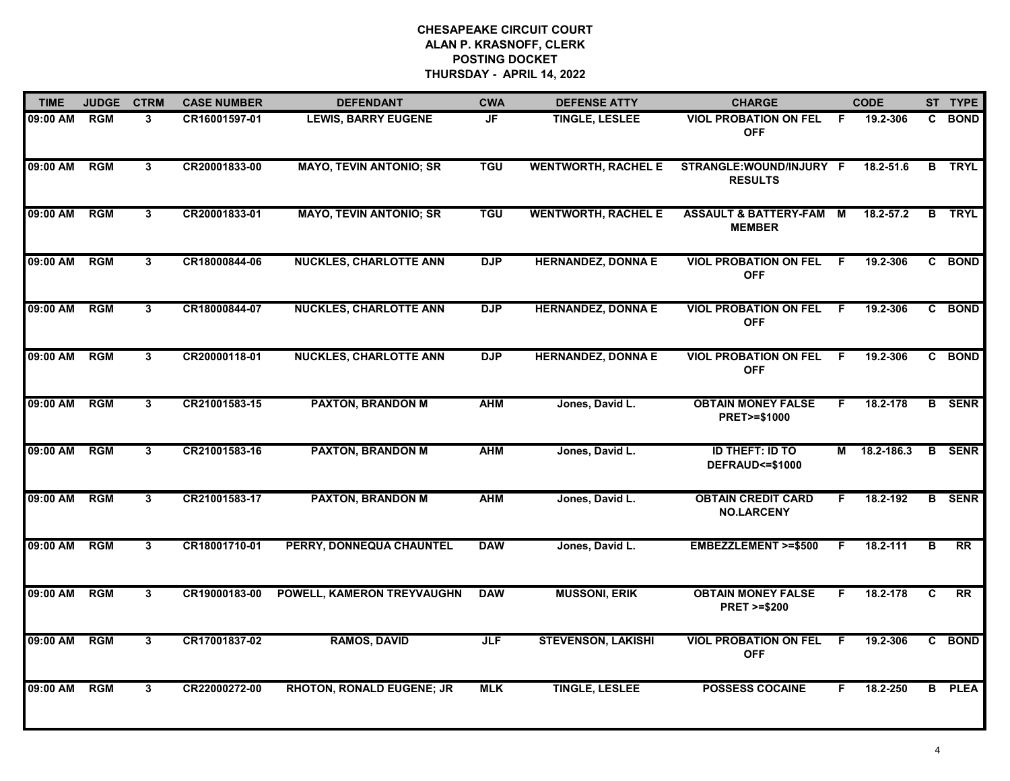| <b>TIME</b> | <b>JUDGE</b> | <b>CTRM</b>  | <b>CASE NUMBER</b> | <b>DEFENDANT</b>                 | <b>CWA</b> | <b>DEFENSE ATTY</b>        | <b>CHARGE</b>                                         |    | <b>CODE</b>  |   | ST TYPE       |
|-------------|--------------|--------------|--------------------|----------------------------------|------------|----------------------------|-------------------------------------------------------|----|--------------|---|---------------|
| 09:00 AM    | <b>RGM</b>   | $\mathbf{3}$ | CR16001597-01      | <b>LEWIS, BARRY EUGENE</b>       | <b>JF</b>  | <b>TINGLE, LESLEE</b>      | <b>VIOL PROBATION ON FEL</b><br><b>OFF</b>            | F. | 19.2-306     |   | C BOND        |
| 09:00 AM    | <b>RGM</b>   | 3            | CR20001833-00      | <b>MAYO, TEVIN ANTONIO; SR</b>   | <b>TGU</b> | <b>WENTWORTH, RACHEL E</b> | STRANGLE: WOUND/INJURY F<br><b>RESULTS</b>            |    | 18.2-51.6    |   | <b>B</b> TRYL |
| 09:00 AM    | <b>RGM</b>   | $\mathbf{3}$ | CR20001833-01      | <b>MAYO, TEVIN ANTONIO; SR</b>   | <b>TGU</b> | <b>WENTWORTH, RACHEL E</b> | <b>ASSAULT &amp; BATTERY-FAM M</b><br><b>MEMBER</b>   |    | 18.2-57.2    |   | <b>B</b> TRYL |
| 09:00 AM    | <b>RGM</b>   | $\mathbf{3}$ | CR18000844-06      | <b>NUCKLES, CHARLOTTE ANN</b>    | <b>DJP</b> | <b>HERNANDEZ, DONNA E</b>  | <b>VIOL PROBATION ON FEL</b><br><b>OFF</b>            | F. | 19.2-306     |   | C BOND        |
| 09:00 AM    | RGM          | $\mathbf{3}$ | CR18000844-07      | <b>NUCKLES, CHARLOTTE ANN</b>    | <b>DJP</b> | <b>HERNANDEZ, DONNA E</b>  | <b>VIOL PROBATION ON FEL</b><br><b>OFF</b>            | F. | 19.2-306     |   | C BOND        |
| 09:00 AM    | <b>RGM</b>   | 3            | CR20000118-01      | <b>NUCKLES, CHARLOTTE ANN</b>    | <b>DJP</b> | <b>HERNANDEZ, DONNA E</b>  | <b>VIOL PROBATION ON FEL</b><br><b>OFF</b>            | F. | 19.2-306     |   | C BOND        |
| 09:00 AM    | <b>RGM</b>   | 3            | CR21001583-15      | <b>PAXTON, BRANDON M</b>         | <b>AHM</b> | Jones, David L.            | <b>OBTAIN MONEY FALSE</b><br><b>PRET&gt;=\$1000</b>   | F. | 18.2-178     |   | <b>B</b> SENR |
| 09:00 AM    | <b>RGM</b>   | $\mathbf{3}$ | CR21001583-16      | <b>PAXTON, BRANDON M</b>         | <b>AHM</b> | Jones, David L.            | <b>ID THEFT: ID TO</b><br><b>DEFRAUD &lt;= \$1000</b> |    | M 18.2-186.3 |   | <b>B</b> SENR |
| 09:00 AM    | <b>RGM</b>   | $\mathbf{3}$ | CR21001583-17      | <b>PAXTON, BRANDON M</b>         | <b>AHM</b> | Jones, David L.            | <b>OBTAIN CREDIT CARD</b><br><b>NO.LARCENY</b>        | F. | 18.2-192     |   | <b>B</b> SENR |
| 09:00 AM    | <b>RGM</b>   | 3            | CR18001710-01      | PERRY, DONNEQUA CHAUNTEL         | <b>DAW</b> | Jones, David L.            | EMBEZZLEMENT >=\$500                                  | F. | 18.2-111     | в | <b>RR</b>     |
| 09:00 AM    | <b>RGM</b>   | 3            | CR19000183-00      | POWELL, KAMERON TREYVAUGHN       | <b>DAW</b> | <b>MUSSONI, ERIK</b>       | <b>OBTAIN MONEY FALSE</b><br><b>PRET &gt;=\$200</b>   | F. | 18.2-178     | C | <b>RR</b>     |
| 09:00 AM    | RGM          | 3            | CR17001837-02      | <b>RAMOS, DAVID</b>              | JLF        | <b>STEVENSON, LAKISHI</b>  | <b>VIOL PROBATION ON FEL</b><br><b>OFF</b>            | F. | 19.2-306     |   | C BOND        |
| 09:00 AM    | <b>RGM</b>   | 3            | CR22000272-00      | <b>RHOTON, RONALD EUGENE; JR</b> | <b>MLK</b> | <b>TINGLE, LESLEE</b>      | <b>POSSESS COCAINE</b>                                | F. | 18.2-250     |   | <b>B</b> PLEA |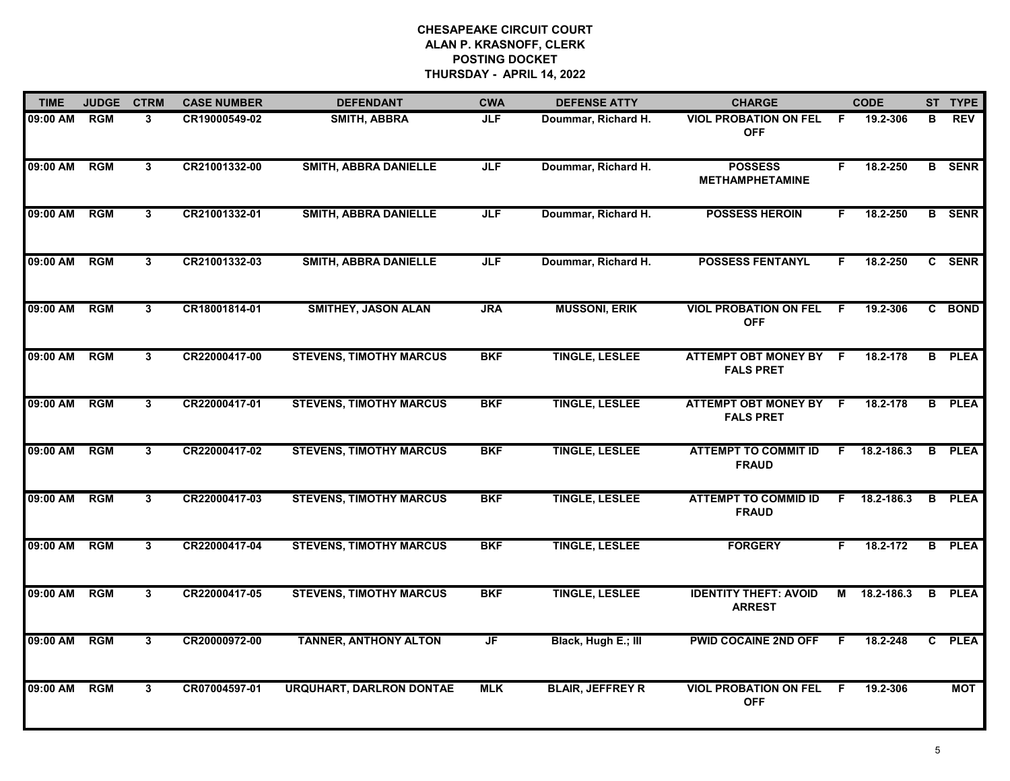| <b>TIME</b> | <b>JUDGE</b> | <b>CTRM</b>    | <b>CASE NUMBER</b> | <b>DEFENDANT</b>                | <b>CWA</b> | <b>DEFENSE ATTY</b>     | <b>CHARGE</b>                                   |    | <b>CODE</b> |                | ST TYPE       |
|-------------|--------------|----------------|--------------------|---------------------------------|------------|-------------------------|-------------------------------------------------|----|-------------|----------------|---------------|
| 09:00 AM    | <b>RGM</b>   | 3              | CR19000549-02      | <b>SMITH, ABBRA</b>             | <b>JLF</b> | Doummar, Richard H.     | <b>VIOL PROBATION ON FEL</b><br><b>OFF</b>      | F. | 19.2-306    | в              | <b>REV</b>    |
| 09:00 AM    | <b>RGM</b>   | $\mathbf{3}$   | CR21001332-00      | <b>SMITH, ABBRA DANIELLE</b>    | <b>JLF</b> | Doummar, Richard H.     | <b>POSSESS</b><br><b>METHAMPHETAMINE</b>        | F. | 18.2-250    |                | <b>B</b> SENR |
| 09:00 AM    | <b>RGM</b>   | $\mathbf{3}$   | CR21001332-01      | <b>SMITH, ABBRA DANIELLE</b>    | <b>JLF</b> | Doummar, Richard H.     | <b>POSSESS HEROIN</b>                           | F. | 18.2-250    |                | <b>B</b> SENR |
| 09:00 AM    | <b>RGM</b>   | 3              | CR21001332-03      | <b>SMITH, ABBRA DANIELLE</b>    | <b>JLF</b> | Doummar, Richard H.     | <b>POSSESS FENTANYL</b>                         | F. | 18.2-250    |                | C SENR        |
| 09:00 AM    | RGM          | 3              | CR18001814-01      | <b>SMITHEY, JASON ALAN</b>      | <b>JRA</b> | <b>MUSSONI, ERIK</b>    | <b>VIOL PROBATION ON FEL</b><br><b>OFF</b>      | F. | 19.2-306    |                | C BOND        |
| 09:00 AM    | <b>RGM</b>   | 3              | CR22000417-00      | <b>STEVENS, TIMOTHY MARCUS</b>  | <b>BKF</b> | <b>TINGLE, LESLEE</b>   | ATTEMPT OBT MONEY BY F<br><b>FALS PRET</b>      |    | 18.2-178    | B              | <b>PLEA</b>   |
| 09:00 AM    | <b>RGM</b>   | 3              | CR22000417-01      | <b>STEVENS, TIMOTHY MARCUS</b>  | <b>BKF</b> | <b>TINGLE, LESLEE</b>   | <b>ATTEMPT OBT MONEY BY</b><br><b>FALS PRET</b> | -F | 18.2-178    | $\overline{B}$ | <b>PLEA</b>   |
| 09:00 AM    | <b>RGM</b>   | $3^{\circ}$    | CR22000417-02      | <b>STEVENS, TIMOTHY MARCUS</b>  | <b>BKF</b> | <b>TINGLE, LESLEE</b>   | <b>ATTEMPT TO COMMIT ID</b><br><b>FRAUD</b>     | F. | 18.2-186.3  | B.             | <b>PLEA</b>   |
| 09:00 AM    | <b>RGM</b>   | 3              | CR22000417-03      | <b>STEVENS, TIMOTHY MARCUS</b>  | <b>BKF</b> | <b>TINGLE, LESLEE</b>   | <b>ATTEMPT TO COMMID ID</b><br><b>FRAUD</b>     | F. | 18.2-186.3  | B              | <b>PLEA</b>   |
| 09:00 AM    | <b>RGM</b>   | 3              | CR22000417-04      | <b>STEVENS, TIMOTHY MARCUS</b>  | <b>BKF</b> | <b>TINGLE, LESLEE</b>   | <b>FORGERY</b>                                  | F. | 18.2-172    | B              | <b>PLEA</b>   |
| 09:00 AM    | <b>RGM</b>   | 3 <sup>1</sup> | CR22000417-05      | <b>STEVENS, TIMOTHY MARCUS</b>  | <b>BKF</b> | <b>TINGLE, LESLEE</b>   | <b>IDENTITY THEFT: AVOID</b><br><b>ARREST</b>   | М  | 18.2-186.3  | B              | <b>PLEA</b>   |
| 09:00 AM    | RGM          | 3              | CR20000972-00      | <b>TANNER, ANTHONY ALTON</b>    | JF         | Black, Hugh E.; III     | <b>PWID COCAINE 2ND OFF</b>                     | F. | 18.2-248    | C.             | <b>PLEA</b>   |
| 09:00 AM    | <b>RGM</b>   | 3              | CR07004597-01      | <b>URQUHART, DARLRON DONTAE</b> | <b>MLK</b> | <b>BLAIR, JEFFREY R</b> | <b>VIOL PROBATION ON FEL</b><br><b>OFF</b>      | -F | 19.2-306    |                | <b>MOT</b>    |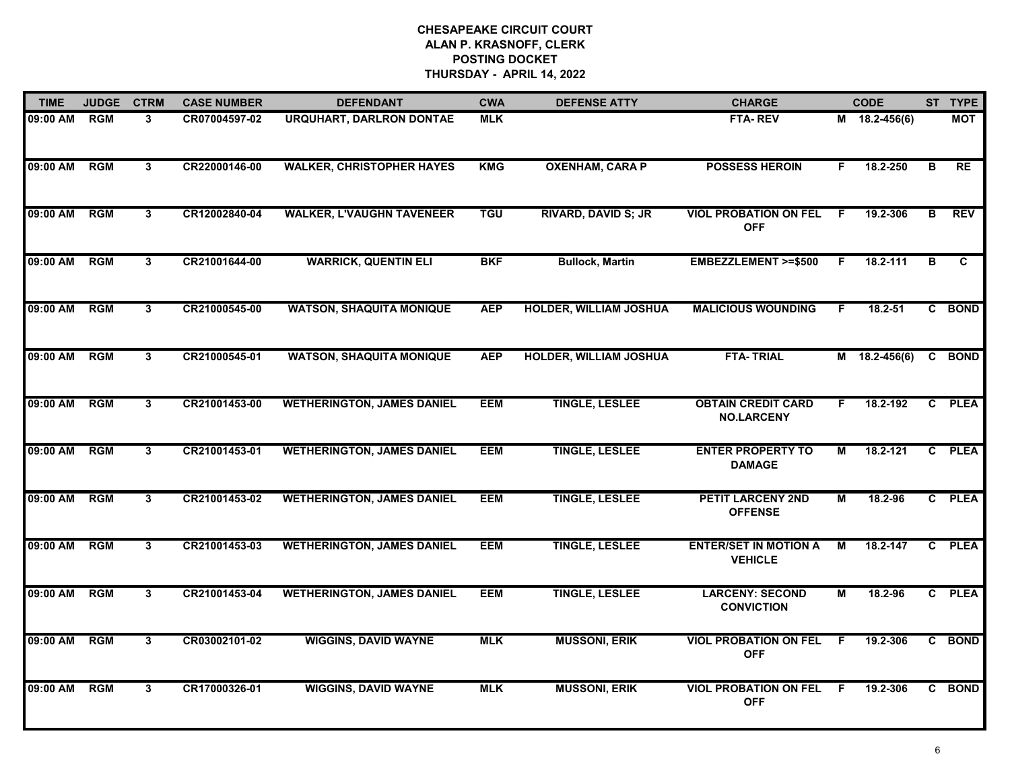| <b>TIME</b> | <b>JUDGE</b> | <b>CTRM</b>    | <b>CASE NUMBER</b> | <b>DEFENDANT</b>                  | <b>CWA</b> | <b>DEFENSE ATTY</b>           | <b>CHARGE</b>                                  |    | <b>CODE</b>     |                | ST TYPE     |
|-------------|--------------|----------------|--------------------|-----------------------------------|------------|-------------------------------|------------------------------------------------|----|-----------------|----------------|-------------|
| 09:00 AM    | <b>RGM</b>   | 3              | CR07004597-02      | URQUHART, DARLRON DONTAE          | <b>MLK</b> |                               | <b>FTA-REV</b>                                 |    | M 18.2-456(6)   |                | МОТ         |
| 09:00 AM    | <b>RGM</b>   | $\mathbf{3}$   | CR22000146-00      | <b>WALKER, CHRISTOPHER HAYES</b>  | <b>KMG</b> | <b>OXENHAM, CARA P</b>        | <b>POSSESS HEROIN</b>                          | F  | 18.2-250        | B              | <b>RE</b>   |
| 09:00 AM    | <b>RGM</b>   | $3^{\circ}$    | CR12002840-04      | <b>WALKER, L'VAUGHN TAVENEER</b>  | <b>TGU</b> | <b>RIVARD, DAVID S; JR</b>    | <b>VIOL PROBATION ON FEL</b><br><b>OFF</b>     | E  | 19.2-306        | В              | <b>REV</b>  |
| 09:00 AM    | <b>RGM</b>   | 3              | CR21001644-00      | <b>WARRICK, QUENTIN ELI</b>       | <b>BKF</b> | <b>Bullock, Martin</b>        | <b>EMBEZZLEMENT &gt;=\$500</b>                 | F  | 18.2-111        | в              | C           |
| 09:00 AM    | <b>RGM</b>   | 3              | CR21000545-00      | <b>WATSON, SHAQUITA MONIQUE</b>   | <b>AEP</b> | <b>HOLDER, WILLIAM JOSHUA</b> | <b>MALICIOUS WOUNDING</b>                      | F. | 18.2-51         |                | C BOND      |
| 09:00 AM    | <b>RGM</b>   | 3              | CR21000545-01      | <b>WATSON, SHAQUITA MONIQUE</b>   | <b>AEP</b> | <b>HOLDER, WILLIAM JOSHUA</b> | <b>FTA-TRIAL</b>                               |    | $M$ 18.2-456(6) |                | C BOND      |
| 09:00 AM    | <b>RGM</b>   | 3              | CR21001453-00      | <b>WETHERINGTON, JAMES DANIEL</b> | <b>EEM</b> | <b>TINGLE, LESLEE</b>         | <b>OBTAIN CREDIT CARD</b><br><b>NO.LARCENY</b> | F  | 18.2-192        | $\overline{c}$ | <b>PLEA</b> |
| 09:00 AM    | <b>RGM</b>   | $\mathbf{3}$   | CR21001453-01      | <b>WETHERINGTON, JAMES DANIEL</b> | <b>EEM</b> | <b>TINGLE, LESLEE</b>         | <b>ENTER PROPERTY TO</b><br><b>DAMAGE</b>      | М  | 18.2-121        |                | C PLEA      |
| 09:00 AM    | <b>RGM</b>   | $\mathbf{3}$   | CR21001453-02      | <b>WETHERINGTON, JAMES DANIEL</b> | <b>EEM</b> | <b>TINGLE, LESLEE</b>         | <b>PETIT LARCENY 2ND</b><br><b>OFFENSE</b>     | М  | 18.2-96         |                | C PLEA      |
| 09:00 AM    | <b>RGM</b>   | $\overline{3}$ | CR21001453-03      | <b>WETHERINGTON, JAMES DANIEL</b> | <b>EEM</b> | <b>TINGLE, LESLEE</b>         | <b>ENTER/SET IN MOTION A</b><br><b>VEHICLE</b> | M  | 18.2-147        |                | C PLEA      |
| 09:00 AM    | RGM          | $\mathbf{3}$   | CR21001453-04      | <b>WETHERINGTON, JAMES DANIEL</b> | <b>EEM</b> | <b>TINGLE, LESLEE</b>         | <b>LARCENY: SECOND</b><br><b>CONVICTION</b>    | М  | 18.2-96         |                | C PLEA      |
| 09:00 AM    | <b>RGM</b>   | 3              | CR03002101-02      | <b>WIGGINS, DAVID WAYNE</b>       | <b>MLK</b> | <b>MUSSONI, ERIK</b>          | <b>VIOL PROBATION ON FEL</b><br><b>OFF</b>     | F  | 19.2-306        |                | C BOND      |
| 09:00 AM    | <b>RGM</b>   | 3              | CR17000326-01      | <b>WIGGINS, DAVID WAYNE</b>       | <b>MLK</b> | <b>MUSSONI, ERIK</b>          | <b>VIOL PROBATION ON FEL</b><br><b>OFF</b>     | -F | 19.2-306        |                | C BOND      |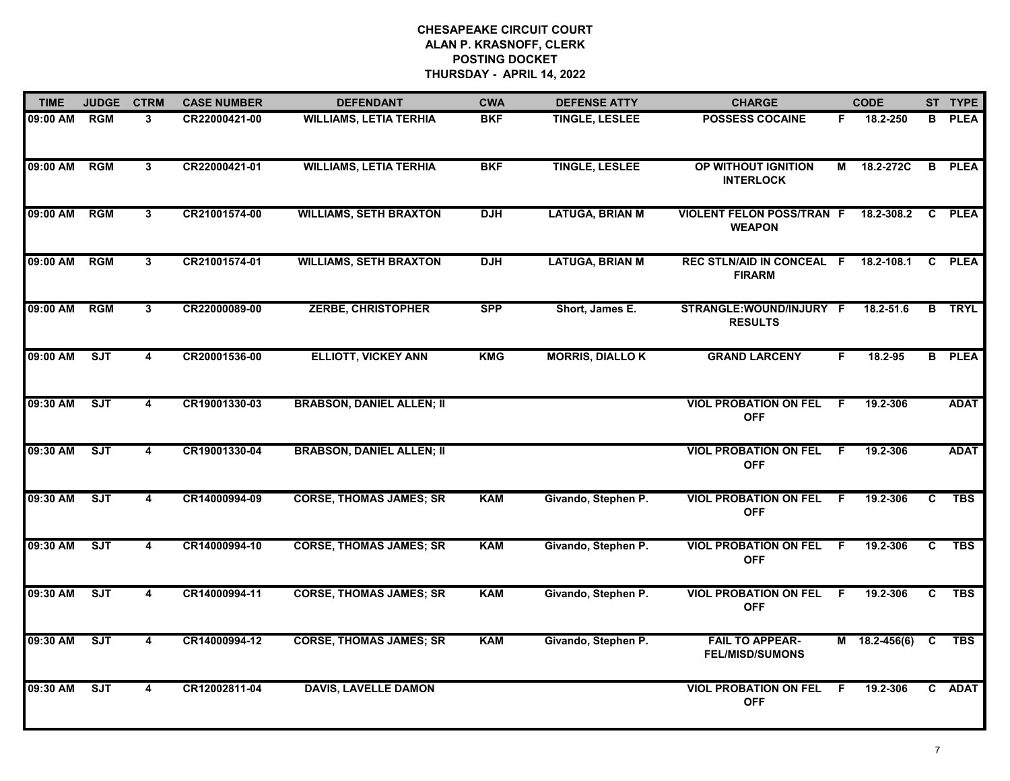| <b>TIME</b> | <b>JUDGE</b> | <b>CTRM</b>             | <b>CASE NUMBER</b> | <b>DEFENDANT</b>                 | <b>CWA</b> | <b>DEFENSE ATTY</b>     | <b>CHARGE</b>                                     |    | <b>CODE</b>     |    | ST TYPE       |
|-------------|--------------|-------------------------|--------------------|----------------------------------|------------|-------------------------|---------------------------------------------------|----|-----------------|----|---------------|
| 09:00 AM    | <b>RGM</b>   | 3                       | CR22000421-00      | <b>WILLIAMS, LETIA TERHIA</b>    | <b>BKF</b> | <b>TINGLE, LESLEE</b>   | <b>POSSESS COCAINE</b>                            | F. | 18.2-250        |    | <b>B</b> PLEA |
| 09:00 AM    | <b>RGM</b>   | $\mathbf{3}$            | CR22000421-01      | <b>WILLIAMS, LETIA TERHIA</b>    | <b>BKF</b> | <b>TINGLE, LESLEE</b>   | OP WITHOUT IGNITION<br><b>INTERLOCK</b>           | М  | 18.2-272C       |    | <b>B</b> PLEA |
| 09:00 AM    | <b>RGM</b>   | $\mathbf{3}$            | CR21001574-00      | <b>WILLIAMS, SETH BRAXTON</b>    | <b>DJH</b> | <b>LATUGA, BRIAN M</b>  | <b>VIOLENT FELON POSS/TRAN F</b><br><b>WEAPON</b> |    | 18.2-308.2      |    | C PLEA        |
| 09:00 AM    | <b>RGM</b>   | 3                       | CR21001574-01      | <b>WILLIAMS, SETH BRAXTON</b>    | <b>DJH</b> | <b>LATUGA, BRIAN M</b>  | <b>REC STLN/AID IN CONCEAL F</b><br><b>FIRARM</b> |    | 18.2-108.1      |    | C PLEA        |
| 09:00 AM    | RGM          | 3                       | CR22000089-00      | <b>ZERBE, CHRISTOPHER</b>        | <b>SPP</b> | Short, James E.         | STRANGLE:WOUND/INJURY F<br><b>RESULTS</b>         |    | 18.2-51.6       |    | <b>B</b> TRYL |
| 09:00 AM    | SJT          | 4                       | CR20001536-00      | <b>ELLIOTT, VICKEY ANN</b>       | <b>KMG</b> | <b>MORRIS, DIALLO K</b> | <b>GRAND LARCENY</b>                              | F. | 18.2-95         |    | <b>B</b> PLEA |
| 09:30 AM    | ST           | $\overline{\mathbf{4}}$ | CR19001330-03      | <b>BRABSON, DANIEL ALLEN; II</b> |            |                         | <b>VIOL PROBATION ON FEL</b><br><b>OFF</b>        | F. | 19.2-306        |    | <b>ADAT</b>   |
| 09:30 AM    | ST           | 4                       | CR19001330-04      | <b>BRABSON, DANIEL ALLEN; II</b> |            |                         | <b>VIOL PROBATION ON FEL</b><br><b>OFF</b>        | F  | 19.2-306        |    | <b>ADAT</b>   |
| 09:30 AM    | <b>SJT</b>   | 4                       | CR14000994-09      | <b>CORSE, THOMAS JAMES; SR</b>   | <b>KAM</b> | Givando, Stephen P.     | <b>VIOL PROBATION ON FEL</b><br><b>OFF</b>        | -F | 19.2-306        | C. | TBS           |
| 09:30 AM    | ST           | 4                       | CR14000994-10      | <b>CORSE, THOMAS JAMES; SR</b>   | <b>KAM</b> | Givando, Stephen P.     | <b>VIOL PROBATION ON FEL</b><br><b>OFF</b>        | F. | 19.2-306        | C  | <b>TBS</b>    |
| 09:30 AM    | SJT          | 4                       | CR14000994-11      | <b>CORSE, THOMAS JAMES; SR</b>   | <b>KAM</b> | Givando, Stephen P.     | <b>VIOL PROBATION ON FEL</b><br><b>OFF</b>        | F. | 19.2-306        | C  | <b>TBS</b>    |
| 09:30 AM    | <b>SJT</b>   | 4                       | CR14000994-12      | <b>CORSE, THOMAS JAMES; SR</b>   | <b>KAM</b> | Givando, Stephen P.     | <b>FAIL TO APPEAR-</b><br><b>FEL/MISD/SUMONS</b>  |    | $M$ 18.2-456(6) | C  | <b>TBS</b>    |
| 09:30 AM    | SJT          | 4                       | CR12002811-04      | <b>DAVIS, LAVELLE DAMON</b>      |            |                         | <b>VIOL PROBATION ON FEL</b><br><b>OFF</b>        | F. | 19.2-306        |    | C ADAT        |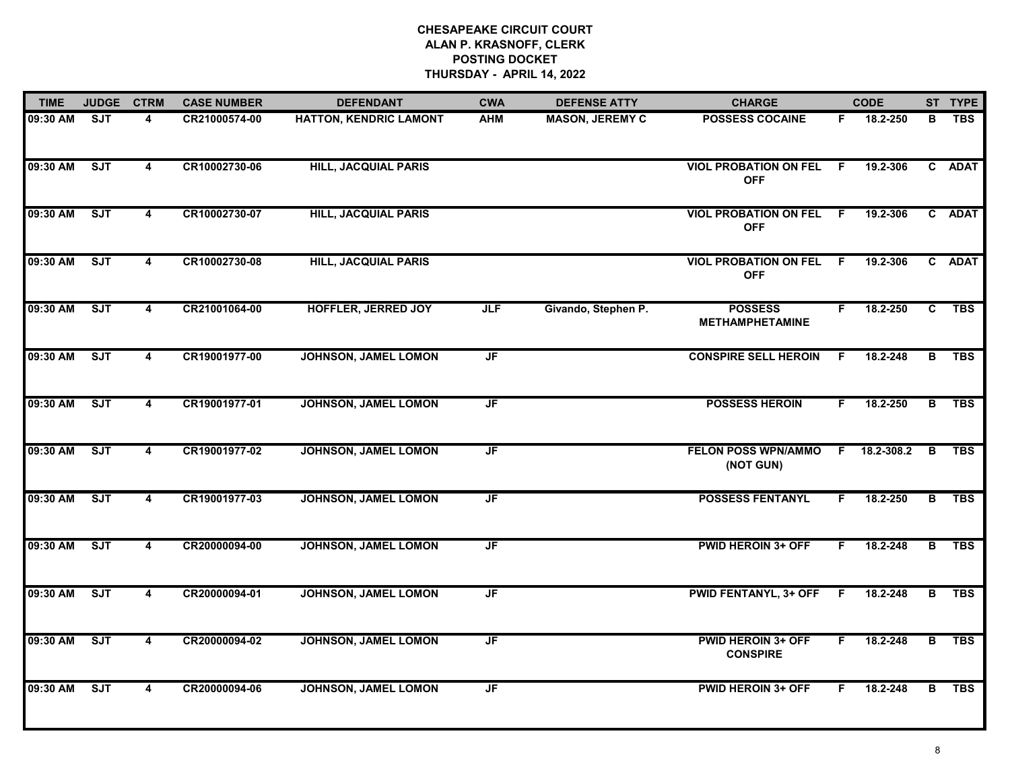| <b>TIME</b> | <b>JUDGE</b> | <b>CTRM</b>             | <b>CASE NUMBER</b> | <b>DEFENDANT</b>              | <b>CWA</b>                        | <b>DEFENSE ATTY</b>    | <b>CHARGE</b>                                |    | <b>CODE</b> |   | ST TYPE    |
|-------------|--------------|-------------------------|--------------------|-------------------------------|-----------------------------------|------------------------|----------------------------------------------|----|-------------|---|------------|
| 09:30 AM    | <b>SJT</b>   | 4                       | CR21000574-00      | <b>HATTON, KENDRIC LAMONT</b> | <b>AHM</b>                        | <b>MASON, JEREMY C</b> | <b>POSSESS COCAINE</b>                       | F. | 18.2-250    | в | <b>TBS</b> |
| 09:30 AM    | ST           | $\overline{\mathbf{4}}$ | CR10002730-06      | <b>HILL, JACQUIAL PARIS</b>   |                                   |                        | <b>VIOL PROBATION ON FEL</b><br><b>OFF</b>   | -F | 19.2-306    |   | C ADAT     |
| 09:30 AM    | ST           | $\overline{\mathbf{4}}$ | CR10002730-07      | <b>HILL, JACQUIAL PARIS</b>   |                                   |                        | <b>VIOL PROBATION ON FEL</b><br><b>OFF</b>   | F. | 19.2-306    |   | C ADAT     |
| 09:30 AM    | SJT          | 4                       | CR10002730-08      | <b>HILL, JACQUIAL PARIS</b>   |                                   |                        | <b>VIOL PROBATION ON FEL</b><br><b>OFF</b>   | F. | 19.2-306    |   | C ADAT     |
| 09:30 AM    | ST           | 4                       | CR21001064-00      | <b>HOFFLER, JERRED JOY</b>    | <b>JLF</b>                        | Givando, Stephen P.    | <b>POSSESS</b><br><b>METHAMPHETAMINE</b>     | F. | 18.2-250    | C | <b>TBS</b> |
| 09:30 AM    | ST           | 4                       | CR19001977-00      | JOHNSON, JAMEL LOMON          | $\overline{\mathsf{JF}}$          |                        | <b>CONSPIRE SELL HEROIN</b>                  | -F | 18.2-248    | в | <b>TBS</b> |
| 09:30 AM    | ST           | $\overline{4}$          | CR19001977-01      | JOHNSON, JAMEL LOMON          | $\overline{\mathsf{J}\mathsf{F}}$ |                        | <b>POSSESS HEROIN</b>                        | F  | 18.2-250    | в | <b>TBS</b> |
| 09:30 AM    | SJT          | $\overline{\mathbf{4}}$ | CR19001977-02      | JOHNSON, JAMEL LOMON          | JF                                |                        | <b>FELON POSS WPN/AMMO</b><br>(NOT GUN)      | F. | 18.2-308.2  | B | <b>TBS</b> |
| 09:30 AM    | ST           | 4                       | CR19001977-03      | JOHNSON, JAMEL LOMON          | $\overline{\mathsf{J}\mathsf{F}}$ |                        | <b>POSSESS FENTANYL</b>                      | F. | 18.2-250    | B | <b>TBS</b> |
| 09:30 AM    | ST           | 4                       | CR20000094-00      | JOHNSON, JAMEL LOMON          | $\overline{\mathsf{J}\mathsf{F}}$ |                        | <b>PWID HEROIN 3+ OFF</b>                    | F. | 18.2-248    | В | <b>TBS</b> |
| 09:30 AM    | ST           | $\overline{\mathbf{4}}$ | CR20000094-01      | JOHNSON, JAMEL LOMON          | JF                                |                        | <b>PWID FENTANYL, 3+ OFF</b>                 | F. | 18.2-248    | в | <b>TBS</b> |
| 09:30 AM    | ST           | $\overline{4}$          | CR20000094-02      | JOHNSON, JAMEL LOMON          | JF                                |                        | <b>PWID HEROIN 3+ OFF</b><br><b>CONSPIRE</b> | F. | 18.2-248    | в | <b>TBS</b> |
| 09:30 AM    | SJT          | 4                       | CR20000094-06      | JOHNSON, JAMEL LOMON          | JF                                |                        | <b>PWID HEROIN 3+ OFF</b>                    | F  | 18.2-248    | B | <b>TBS</b> |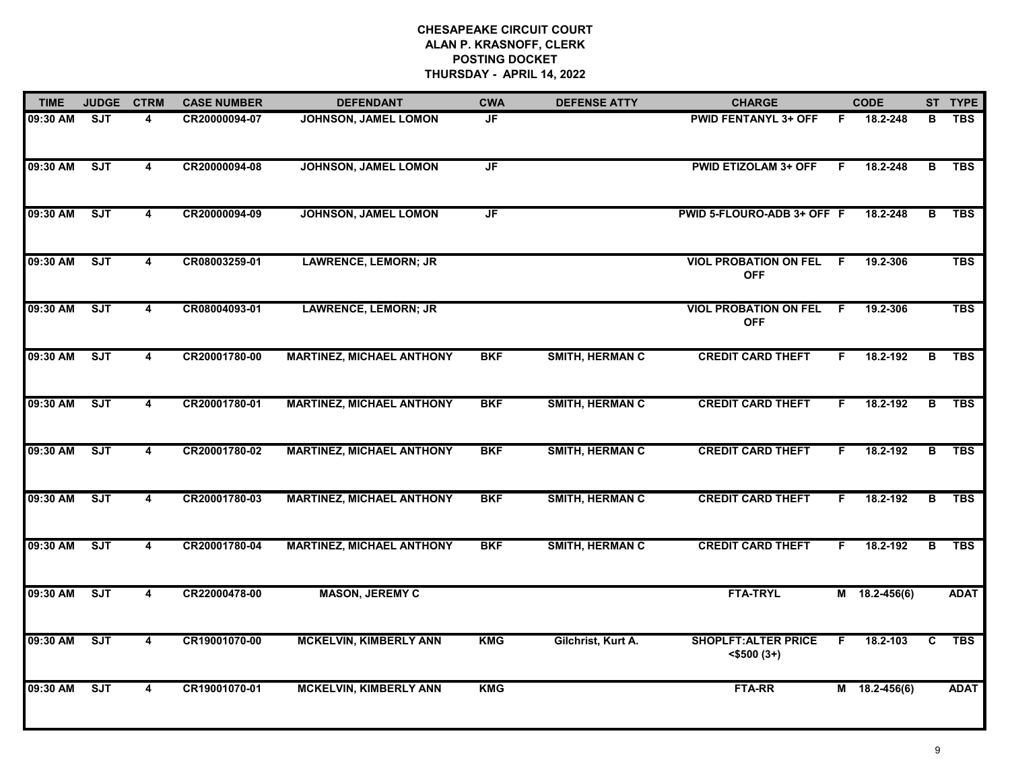| <b>TIME</b> | <b>JUDGE</b> | <b>CTRM</b>             | <b>CASE NUMBER</b> | <b>DEFENDANT</b>                 | <b>CWA</b>                        | <b>DEFENSE ATTY</b>    | <b>CHARGE</b>                                   |    | <b>CODE</b>     |   | ST TYPE     |
|-------------|--------------|-------------------------|--------------------|----------------------------------|-----------------------------------|------------------------|-------------------------------------------------|----|-----------------|---|-------------|
| 09:30 AM    | <b>SJT</b>   | 4                       | CR20000094-07      | <b>JOHNSON, JAMEL LOMON</b>      | JF                                |                        | <b>PWID FENTANYL 3+ OFF</b>                     | F. | 18.2-248        | в | <b>TBS</b>  |
| 09:30 AM    | ST           | 4                       | CR20000094-08      | JOHNSON, JAMEL LOMON             | JF                                |                        | <b>PWID ETIZOLAM 3+ OFF</b>                     | F  | 18.2-248        | B | <b>TBS</b>  |
| 09:30 AM    | ST           | $\overline{\mathbf{4}}$ | CR20000094-09      | JOHNSON, JAMEL LOMON             | $\overline{\mathsf{J}\mathsf{F}}$ |                        | PWID 5-FLOURO-ADB 3+ OFF F                      |    | 18.2-248        | B | <b>TBS</b>  |
| 09:30 AM    | SJT          | 4                       | CR08003259-01      | <b>LAWRENCE, LEMORN; JR</b>      |                                   |                        | <b>VIOL PROBATION ON FEL</b><br><b>OFF</b>      | F. | 19.2-306        |   | <b>TBS</b>  |
| 09:30 AM    | <b>SJT</b>   | 4                       | CR08004093-01      | <b>LAWRENCE, LEMORN; JR</b>      |                                   |                        | <b>VIOL PROBATION ON FEL</b><br><b>OFF</b>      | F. | 19.2-306        |   | <b>TBS</b>  |
| 09:30 AM    | <b>SJT</b>   | 4                       | CR20001780-00      | <b>MARTINEZ, MICHAEL ANTHONY</b> | <b>BKF</b>                        | <b>SMITH, HERMAN C</b> | <b>CREDIT CARD THEFT</b>                        | F. | 18.2-192        | в | <b>TBS</b>  |
| 09:30 AM    | ST           | $\overline{\mathbf{4}}$ | CR20001780-01      | <b>MARTINEZ, MICHAEL ANTHONY</b> | <b>BKF</b>                        | <b>SMITH, HERMAN C</b> | <b>CREDIT CARD THEFT</b>                        | F  | 18.2-192        | в | <b>TBS</b>  |
| 09:30 AM    | ST           | $\overline{\mathbf{4}}$ | CR20001780-02      | <b>MARTINEZ, MICHAEL ANTHONY</b> | <b>BKF</b>                        | <b>SMITH, HERMAN C</b> | <b>CREDIT CARD THEFT</b>                        | F. | 18.2-192        | B | <b>TBS</b>  |
| 09:30 AM    | SJT          | $\overline{\mathbf{4}}$ | CR20001780-03      | <b>MARTINEZ, MICHAEL ANTHONY</b> | <b>BKF</b>                        | <b>SMITH, HERMAN C</b> | <b>CREDIT CARD THEFT</b>                        | F. | 18.2-192        | B | <b>TBS</b>  |
| 09:30 AM    | ST           | 4                       | CR20001780-04      | <b>MARTINEZ, MICHAEL ANTHONY</b> | <b>BKF</b>                        | <b>SMITH, HERMAN C</b> | <b>CREDIT CARD THEFT</b>                        | F  | 18.2-192        | B | <b>TBS</b>  |
| 09:30 AM    | SJT          | 4                       | CR22000478-00      | <b>MASON, JEREMY C</b>           |                                   |                        | <b>FTA-TRYL</b>                                 |    | $M$ 18.2-456(6) |   | <b>ADAT</b> |
| 09:30 AM    | <b>SJT</b>   | $\overline{4}$          | CR19001070-00      | <b>MCKELVIN, KIMBERLY ANN</b>    | <b>KMG</b>                        | Gilchrist, Kurt A.     | <b>SHOPLFT: ALTER PRICE</b><br>$<$ \$500 $(3+)$ | F. | 18.2-103        | C | <b>TBS</b>  |
| 09:30 AM    | ST           | $\overline{4}$          | CR19001070-01      | <b>MCKELVIN, KIMBERLY ANN</b>    | <b>KMG</b>                        |                        | <b>FTA-RR</b>                                   |    | M 18.2-456(6)   |   | <b>ADAT</b> |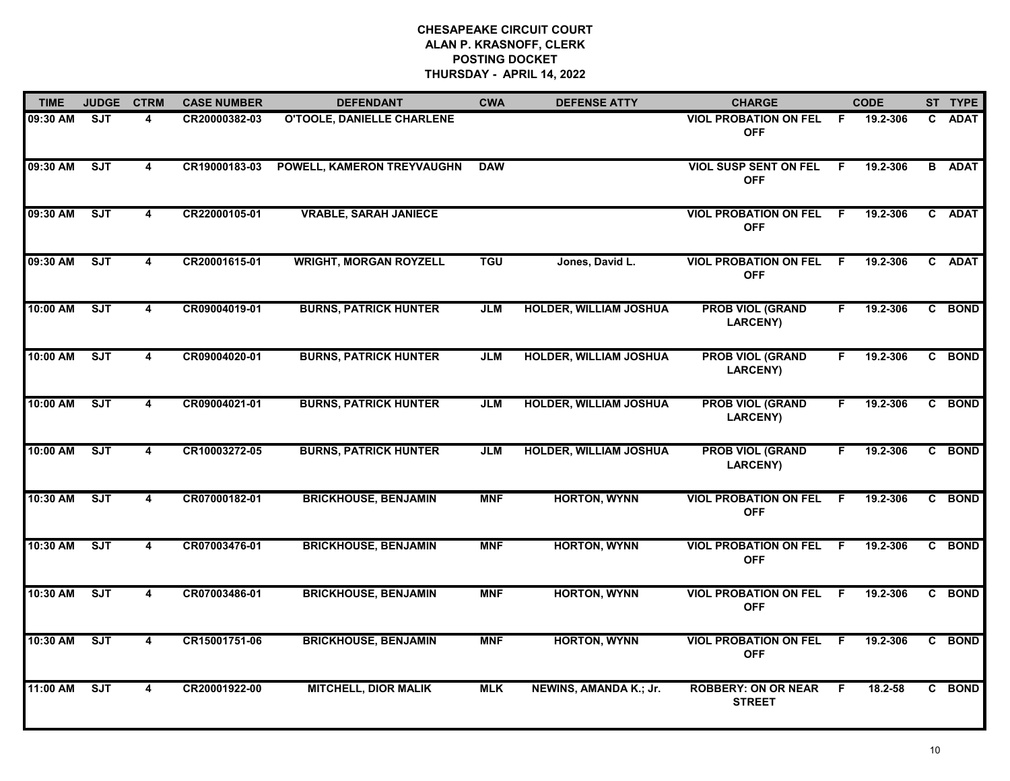| <b>TIME</b> | <b>JUDGE</b> | <b>CTRM</b> | <b>CASE NUMBER</b> | <b>DEFENDANT</b>                  | <b>CWA</b> | <b>DEFENSE ATTY</b>           | <b>CHARGE</b>                                |    | <b>CODE</b> | ST TYPE       |
|-------------|--------------|-------------|--------------------|-----------------------------------|------------|-------------------------------|----------------------------------------------|----|-------------|---------------|
| 09:30 AM    | <b>SJT</b>   | 4           | CR20000382-03      | <b>O'TOOLE, DANIELLE CHARLENE</b> |            |                               | <b>VIOL PROBATION ON FEL</b><br><b>OFF</b>   | F. | 19.2-306    | C ADAT        |
| 09:30 AM    | SJT          | 4           | CR19000183-03      | POWELL, KAMERON TREYVAUGHN        | <b>DAW</b> |                               | <b>VIOL SUSP SENT ON FEL</b><br><b>OFF</b>   | F. | 19.2-306    | <b>B</b> ADAT |
| 09:30 AM    | ST           | 4           | CR22000105-01      | <b>VRABLE, SARAH JANIECE</b>      |            |                               | <b>VIOL PROBATION ON FEL</b><br><b>OFF</b>   | E  | 19.2-306    | C ADAT        |
| 09:30 AM    | SJT          | 4           | CR20001615-01      | <b>WRIGHT, MORGAN ROYZELL</b>     | <b>TGU</b> | Jones, David L.               | <b>VIOL PROBATION ON FEL</b><br><b>OFF</b>   | F. | 19.2-306    | C ADAT        |
| 10:00 AM    | SJT          | 4           | CR09004019-01      | <b>BURNS, PATRICK HUNTER</b>      | <b>JLM</b> | <b>HOLDER, WILLIAM JOSHUA</b> | <b>PROB VIOL (GRAND</b><br><b>LARCENY)</b>   | F. | 19.2-306    | C BOND        |
| 10:00 AM    | ST           | 4           | CR09004020-01      | <b>BURNS, PATRICK HUNTER</b>      | <b>JLM</b> | <b>HOLDER, WILLIAM JOSHUA</b> | <b>PROB VIOL (GRAND</b><br><b>LARCENY)</b>   | F. | 19.2-306    | C BOND        |
| 10:00 AM    | ST           | 4           | CR09004021-01      | <b>BURNS, PATRICK HUNTER</b>      | <b>JLM</b> | <b>HOLDER, WILLIAM JOSHUA</b> | <b>PROB VIOL (GRAND</b><br><b>LARCENY)</b>   | F. | 19.2-306    | C BOND        |
| 10:00 AM    | SJT          | 4           | CR10003272-05      | <b>BURNS, PATRICK HUNTER</b>      | <b>JLM</b> | <b>HOLDER, WILLIAM JOSHUA</b> | <b>PROB VIOL (GRAND</b><br><b>LARCENY)</b>   | F. | 19.2-306    | C BOND        |
| 10:30 AM    | <b>SJT</b>   | 4           | CR07000182-01      | <b>BRICKHOUSE, BENJAMIN</b>       | <b>MNF</b> | <b>HORTON, WYNN</b>           | <b>VIOL PROBATION ON FEL</b><br><b>OFF</b>   | E  | 19.2-306    | C BOND        |
| 10:30 AM    | ST           | 4           | CR07003476-01      | <b>BRICKHOUSE, BENJAMIN</b>       | <b>MNF</b> | <b>HORTON, WYNN</b>           | <b>VIOL PROBATION ON FEL</b><br><b>OFF</b>   | F. | 19.2-306    | C BOND        |
| 10:30 AM    | ST           | 4           | CR07003486-01      | <b>BRICKHOUSE, BENJAMIN</b>       | <b>MNF</b> | <b>HORTON, WYNN</b>           | <b>VIOL PROBATION ON FEL F</b><br><b>OFF</b> |    | 19.2-306    | C BOND        |
| 10:30 AM    | ST           | 4           | CR15001751-06      | <b>BRICKHOUSE, BENJAMIN</b>       | <b>MNF</b> | <b>HORTON, WYNN</b>           | <b>VIOL PROBATION ON FEL</b><br><b>OFF</b>   | F. | 19.2-306    | C BOND        |
| 11:00 AM    | ST           | 4           | CR20001922-00      | <b>MITCHELL, DIOR MALIK</b>       | <b>MLK</b> | NEWINS, AMANDA K.; Jr.        | <b>ROBBERY: ON OR NEAR</b><br><b>STREET</b>  | F  | $18.2 - 58$ | C BOND        |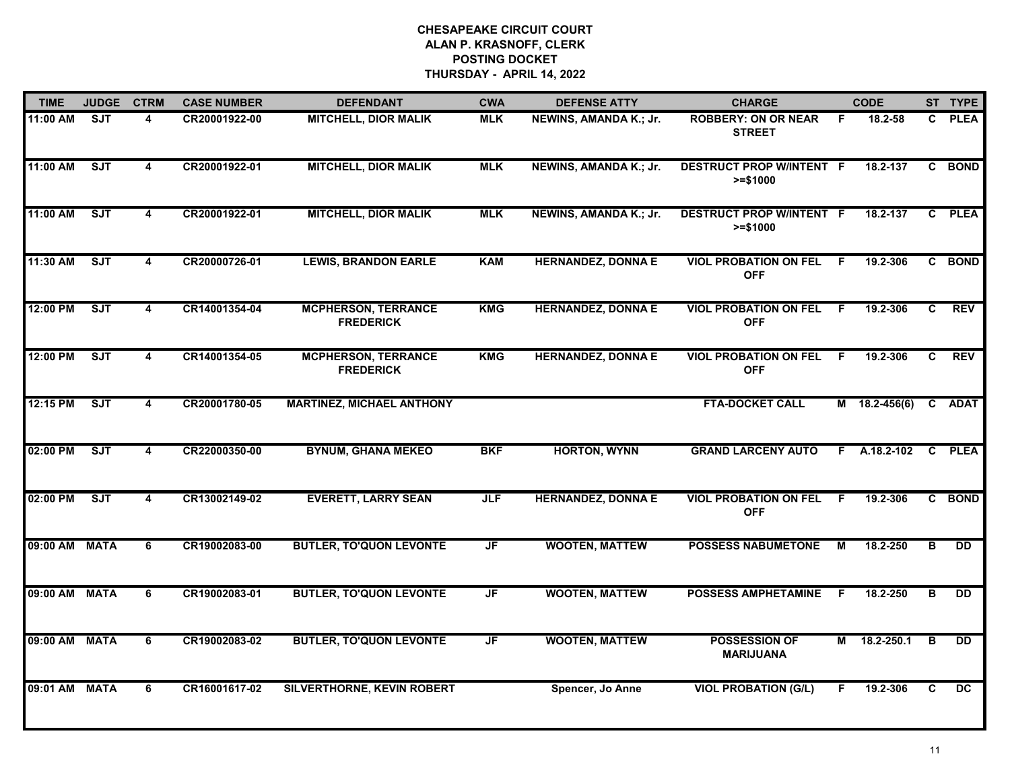| <b>TIME</b>   | <b>JUDGE</b> | <b>CTRM</b>             | <b>CASE NUMBER</b> | <b>DEFENDANT</b>                               | <b>CWA</b> | <b>DEFENSE ATTY</b>           | <b>CHARGE</b>                                 |    | <b>CODE</b>     |    | ST TYPE         |
|---------------|--------------|-------------------------|--------------------|------------------------------------------------|------------|-------------------------------|-----------------------------------------------|----|-----------------|----|-----------------|
| 11:00 AM      | <b>SJT</b>   | 4                       | CR20001922-00      | <b>MITCHELL, DIOR MALIK</b>                    | <b>MLK</b> | NEWINS, AMANDA K.; Jr.        | <b>ROBBERY: ON OR NEAR</b><br><b>STREET</b>   | F. | 18.2-58         |    | C PLEA          |
| 11:00 AM      | ST           | 4                       | CR20001922-01      | <b>MITCHELL, DIOR MALIK</b>                    | <b>MLK</b> | <b>NEWINS, AMANDA K.; Jr.</b> | <b>DESTRUCT PROP W/INTENT F</b><br>$>= $1000$ |    | 18.2-137        |    | C BOND          |
| 11:00 AM      | SJT          | $\overline{\mathbf{4}}$ | CR20001922-01      | <b>MITCHELL, DIOR MALIK</b>                    | <b>MLK</b> | <b>NEWINS, AMANDA K.; Jr.</b> | <b>DESTRUCT PROP W/INTENT F</b><br>$>= $1000$ |    | 18.2-137        |    | C PLEA          |
| 11:30 AM      | SJT          | 4                       | CR20000726-01      | <b>LEWIS, BRANDON EARLE</b>                    | <b>KAM</b> | <b>HERNANDEZ, DONNA E</b>     | <b>VIOL PROBATION ON FEL</b><br><b>OFF</b>    | F. | 19.2-306        |    | C BOND          |
| 12:00 PM      | ST           | 4                       | CR14001354-04      | <b>MCPHERSON, TERRANCE</b><br><b>FREDERICK</b> | <b>KMG</b> | <b>HERNANDEZ, DONNA E</b>     | <b>VIOL PROBATION ON FEL</b><br><b>OFF</b>    | F. | 19.2-306        | C. | <b>REV</b>      |
| 12:00 PM      | ST           | 4                       | CR14001354-05      | <b>MCPHERSON, TERRANCE</b><br><b>FREDERICK</b> | <b>KMG</b> | <b>HERNANDEZ, DONNA E</b>     | <b>VIOL PROBATION ON FEL</b><br><b>OFF</b>    | F. | 19.2-306        | C. | <b>REV</b>      |
| 12:15 PM      | SJT          | 4                       | CR20001780-05      | <b>MARTINEZ, MICHAEL ANTHONY</b>               |            |                               | <b>FTA-DOCKET CALL</b>                        |    | $M$ 18.2-456(6) |    | C ADAT          |
| 02:00 PM      | SJT          | $\overline{\mathbf{4}}$ | CR22000350-00      | <b>BYNUM, GHANA MEKEO</b>                      | <b>BKF</b> | <b>HORTON, WYNN</b>           | <b>GRAND LARCENY AUTO</b>                     |    | $F$ A.18.2-102  |    | C PLEA          |
| 02:00 PM      | ST           | 4                       | CR13002149-02      | <b>EVERETT, LARRY SEAN</b>                     | <b>JLF</b> | <b>HERNANDEZ, DONNA E</b>     | <b>VIOL PROBATION ON FEL</b><br><b>OFF</b>    | F. | 19.2-306        |    | C BOND          |
| 09:00 AM MATA |              | 6                       | CR19002083-00      | <b>BUTLER, TO'QUON LEVONTE</b>                 | JF         | <b>WOOTEN, MATTEW</b>         | <b>POSSESS NABUMETONE</b>                     | м  | 18.2-250        | В  | <b>DD</b>       |
| 09:00 AM MATA |              | 6                       | CR19002083-01      | <b>BUTLER, TO'QUON LEVONTE</b>                 | JF         | <b>WOOTEN, MATTEW</b>         | POSSESS AMPHETAMINE F                         |    | 18.2-250        | В  | DD              |
| 09:00 AM      | <b>MATA</b>  | 6                       | CR19002083-02      | <b>BUTLER, TO'QUON LEVONTE</b>                 | JF         | <b>WOOTEN, MATTEW</b>         | <b>POSSESSION OF</b><br><b>MARIJUANA</b>      |    | M 18.2-250.1    | B  | $\overline{DD}$ |
| 09:01 AM      | <b>MATA</b>  | 6                       | CR16001617-02      | SILVERTHORNE, KEVIN ROBERT                     |            | Spencer, Jo Anne              | <b>VIOL PROBATION (G/L)</b>                   | F. | 19.2-306        | C  | DC              |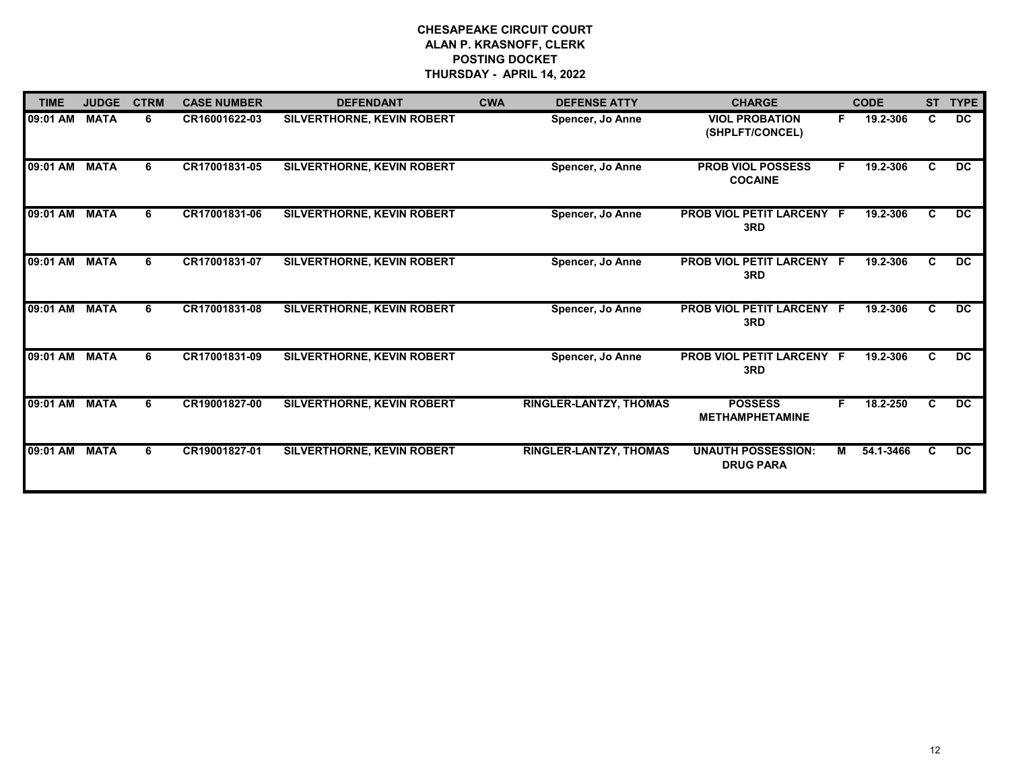| <b>TIME</b> | <b>JUDGE</b> | <b>CTRM</b> | <b>CASE NUMBER</b> | <b>DEFENDANT</b>                  | <b>CWA</b> | <b>DEFENSE ATTY</b>           | <b>CHARGE</b>                                 |    | <b>CODE</b> |              | ST TYPE   |
|-------------|--------------|-------------|--------------------|-----------------------------------|------------|-------------------------------|-----------------------------------------------|----|-------------|--------------|-----------|
| 09:01 AM    | <b>MATA</b>  | 6           | CR16001622-03      | SILVERTHORNE, KEVIN ROBERT        |            | Spencer, Jo Anne              | <b>VIOL PROBATION</b><br>(SHPLFT/CONCEL)      | F  | 19.2-306    | $\mathbf{C}$ | <b>DC</b> |
| 09:01 AM    | <b>MATA</b>  | 6           | CR17001831-05      | <b>SILVERTHORNE, KEVIN ROBERT</b> |            | Spencer, Jo Anne              | <b>PROB VIOL POSSESS</b><br><b>COCAINE</b>    | F. | 19.2-306    | C.           | DC.       |
| 09:01 AM    | <b>MATA</b>  | 6           | CR17001831-06      | SILVERTHORNE, KEVIN ROBERT        |            | Spencer, Jo Anne              | PROB VIOL PETIT LARCENY F<br>3RD              |    | 19.2-306    | C.           | <b>DC</b> |
| 09:01 AM    | <b>MATA</b>  | 6           | CR17001831-07      | <b>SILVERTHORNE, KEVIN ROBERT</b> |            | Spencer, Jo Anne              | PROB VIOL PETIT LARCENY F<br>3RD              |    | 19.2-306    | C            | DC.       |
| 09:01 AM    | <b>MATA</b>  | 6           | CR17001831-08      | <b>SILVERTHORNE, KEVIN ROBERT</b> |            | Spencer, Jo Anne              | <b>PROB VIOL PETIT LARCENY F</b><br>3RD       |    | 19.2-306    | C            | DC        |
| 09:01 AM    | <b>MATA</b>  | 6           | CR17001831-09      | <b>SILVERTHORNE, KEVIN ROBERT</b> |            | Spencer, Jo Anne              | <b>PROB VIOL PETIT LARCENY F</b><br>3RD       |    | 19.2-306    | C.           | DC.       |
| 09:01 AM    | <b>MATA</b>  | 6           | CR19001827-00      | <b>SILVERTHORNE, KEVIN ROBERT</b> |            | <b>RINGLER-LANTZY, THOMAS</b> | <b>POSSESS</b><br><b>METHAMPHETAMINE</b>      |    | 18.2-250    | C.           | <b>DC</b> |
| 09:01 AM    | <b>MATA</b>  | 6           | CR19001827-01      | <b>SILVERTHORNE, KEVIN ROBERT</b> |            | RINGLER-LANTZY, THOMAS        | <b>UNAUTH POSSESSION:</b><br><b>DRUG PARA</b> | M  | 54.1-3466   | C            | DC.       |